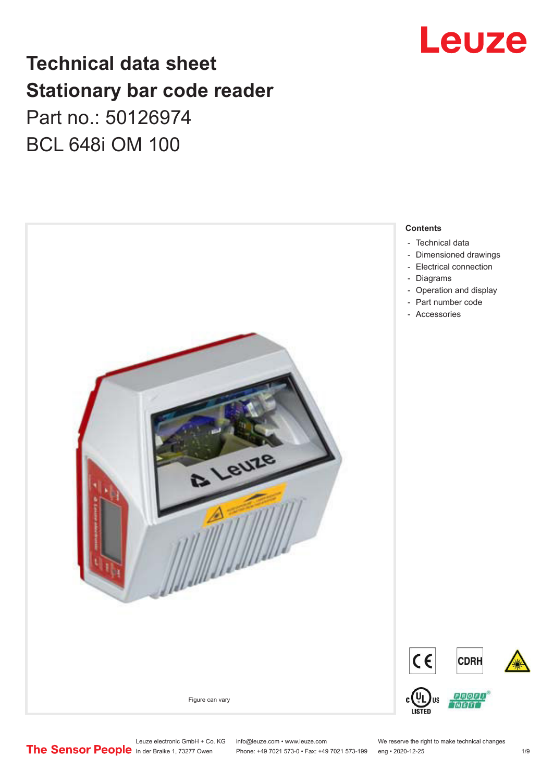

## **Technical data sheet Stationary bar code reader** Part no.: 50126974 BCL 648i OM 100



Leuze electronic GmbH + Co. KG info@leuze.com • www.leuze.com We reserve the right to make technical changes<br>
The Sensor People in der Braike 1, 73277 Owen Phone: +49 7021 573-0 • Fax: +49 7021 573-199 eng • 2020-12-25

Phone: +49 7021 573-0 • Fax: +49 7021 573-199 eng • 2020-12-25 1 /9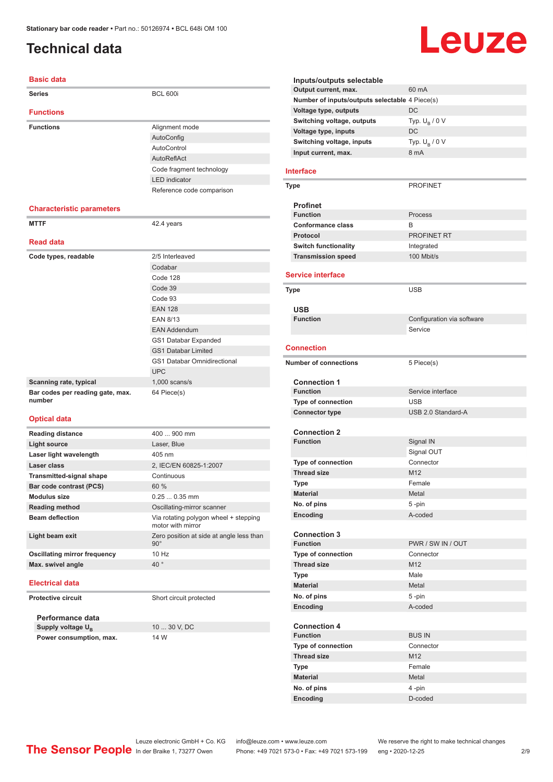### <span id="page-1-0"></span>**Technical data**

#### **Basic data**

| <b>Series</b>                              | <b>BCL 600i</b>                                                                                                                                                                                                                |
|--------------------------------------------|--------------------------------------------------------------------------------------------------------------------------------------------------------------------------------------------------------------------------------|
| <b>Functions</b>                           |                                                                                                                                                                                                                                |
| <b>Functions</b>                           | Alignment mode                                                                                                                                                                                                                 |
|                                            | AutoConfig                                                                                                                                                                                                                     |
|                                            | AutoControl                                                                                                                                                                                                                    |
|                                            | AutoReflAct                                                                                                                                                                                                                    |
|                                            | Code fragment technology                                                                                                                                                                                                       |
|                                            | <b>LED</b> indicator                                                                                                                                                                                                           |
|                                            | Reference code comparison                                                                                                                                                                                                      |
| <b>Characteristic parameters</b>           |                                                                                                                                                                                                                                |
| <b>MTTF</b>                                | 42.4 years                                                                                                                                                                                                                     |
| <b>Read data</b>                           |                                                                                                                                                                                                                                |
| Code types, readable                       | 2/5 Interleaved                                                                                                                                                                                                                |
|                                            | Codabar                                                                                                                                                                                                                        |
|                                            | Code 128                                                                                                                                                                                                                       |
|                                            | Code 39                                                                                                                                                                                                                        |
|                                            | Code 93                                                                                                                                                                                                                        |
|                                            | <b>EAN 128</b>                                                                                                                                                                                                                 |
|                                            | <b>EAN 8/13</b>                                                                                                                                                                                                                |
|                                            | <b>EAN Addendum</b>                                                                                                                                                                                                            |
|                                            | GS1 Databar Expanded                                                                                                                                                                                                           |
|                                            | <b>GS1 Databar Limited</b>                                                                                                                                                                                                     |
|                                            | <b>GS1 Databar Omnidirectional</b>                                                                                                                                                                                             |
|                                            | <b>UPC</b>                                                                                                                                                                                                                     |
| Scanning rate, typical                     | $1,000$ scans/s                                                                                                                                                                                                                |
| Bar codes per reading gate, max.<br>number | 64 Piece(s)                                                                                                                                                                                                                    |
| <b>Optical data</b>                        |                                                                                                                                                                                                                                |
| <b>Reading distance</b>                    | 400  900 mm                                                                                                                                                                                                                    |
| <b>Light source</b>                        | Laser, Blue                                                                                                                                                                                                                    |
| Laser light wavelength                     | 405 nm                                                                                                                                                                                                                         |
| Laser class                                | 2, IEC/EN 60825-1:2007                                                                                                                                                                                                         |
| <b>Transmitted-signal shape</b>            | Continuous                                                                                                                                                                                                                     |
| Bar code contrast (PCS)                    | 60 %                                                                                                                                                                                                                           |
| <b>Modulus size</b>                        | $0.250.35$ mm                                                                                                                                                                                                                  |
| <b>Reading method</b>                      | Oscillating-mirror scanner                                                                                                                                                                                                     |
| where the distribution of the              | Matthew and and the context of the context of the context of the context of the context of the context of the context of the context of the context of the context of the context of the context of the context of the context |

**Beam deflection** Via rotating polygon wheel + stepping motor with mirror **Light beam exit Light beam exit Zero position at side at angle less than** 90° **Oscillating mirror frequency** 10 Hz **Max. swivel angle** 40

#### **Electrical data**

**Protective circuit** Short circuit protected

**Performance data**

| Supply voltage U <sub>n</sub> | 10  30 V, DC |
|-------------------------------|--------------|
| Power consumption, max.       | 14 W         |

### Leuze **Inputs/outputs selectable Output current, max.** 60 mA **Number of inputs/outputs selectable** 4 Piece(s) **Voltage type, outputs** DC **Switching voltage, outputs** Typ.<br>Voltage type, inputs DC. Typ.  $U_R / 0 V$ **Voltage type, inputs Switching voltage, inputs** Typ. Unit Unit Current. max. 6 mA Typ.  $U_B / 0 V$ **Input current, max. Type** PROFINET **Process Conformance class** B **Protocol** PROFINET RT **Switch functionality Integrated Transmission speed** 100 Mbit/s

**Service interface Type** USB **USB Configuration** via software Service **Connection Number of connections** 5 Piece(s) **Connection 1 Service interface Type of connection** USB **Connector type** USB 2.0 Standard-A **Connection 2 Function** Signal IN Signal OUT **Type of connection** Connector **Thread size** M12 **Type** Female **Material** Metal **No. of pins** 5 -pin **Encoding** A-coded **Connection 3 Function** PWR / SW IN / OUT **Type of connection** Connector **Thread size** M12 **Type Male Material** Metal **No. of pins** 5 -pin **Encoding** A-coded **Connection 4 Function** BUS IN **Type of connection** Connector **Thread size** M12 **Type** Female **Material** Metal **No. of pins** 4 -pin

Leuze electronic GmbH + Co. KG info@leuze.com • www.leuze.com We reserve the right to make technical changes<br>
The Sensor People in der Braike 1, 73277 Owen Phone: +49 7021 573-0 • Fax: +49 7021 573-199 eng • 2020-12-25 Phone: +49 7021 573-0 • Fax: +49 7021 573-199 eng • 2020-12-25 2/9

**Encoding** D-coded

**Interface**

**Profinet**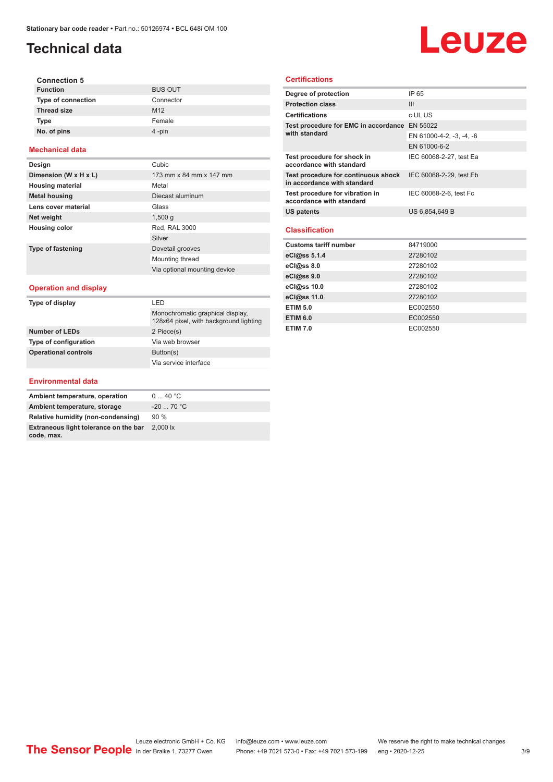### **Technical data**

#### **Connection 5 BUS OUT Type of connection Thread size** M12 **Type** Female **No. of pins** 4 -pin

#### **Mechanical data**

| Design                   | Cubic                        |
|--------------------------|------------------------------|
| Dimension (W x H x L)    | 173 mm x 84 mm x 147 mm      |
| <b>Housing material</b>  | Metal                        |
| <b>Metal housing</b>     | Diecast aluminum             |
| Lens cover material      | Glass                        |
| Net weight               | 1,500q                       |
| <b>Housing color</b>     | Red, RAL 3000                |
|                          | Silver                       |
| <b>Type of fastening</b> | Dovetail grooves             |
|                          | Mounting thread              |
|                          | Via optional mounting device |

#### **Operation and display**

| Type of display              | I FD                                                                       |  |
|------------------------------|----------------------------------------------------------------------------|--|
|                              | Monochromatic graphical display,<br>128x64 pixel, with background lighting |  |
| <b>Number of LEDs</b>        | 2 Piece(s)                                                                 |  |
| <b>Type of configuration</b> | Via web browser                                                            |  |
| <b>Operational controls</b>  | Button(s)                                                                  |  |
|                              | Via service interface                                                      |  |

# Leuze

#### **Certifications**

| Degree of protection                                               | IP 65                    |
|--------------------------------------------------------------------|--------------------------|
| <b>Protection class</b>                                            | III                      |
| <b>Certifications</b>                                              | c UL US                  |
| Test procedure for EMC in accordance EN 55022                      |                          |
| with standard                                                      | EN 61000-4-2, -3, -4, -6 |
|                                                                    | EN 61000-6-2             |
| Test procedure for shock in<br>accordance with standard            | IEC 60068-2-27, test Ea  |
| Test procedure for continuous shock<br>in accordance with standard | IEC 60068-2-29, test Eb  |
| Test procedure for vibration in<br>accordance with standard        | IEC 60068-2-6, test Fc   |
| <b>US patents</b>                                                  | US 6,854,649 B           |
| <b>Classification</b>                                              |                          |
| <b>Customs tariff number</b>                                       | 84719000                 |
| eCl@ss 5.1.4                                                       | 27280102                 |
| eCl@ss 8.0                                                         | 27280102                 |
| eCl@ss 9.0                                                         | 27280102                 |
| eCl@ss 10.0                                                        | 27280102                 |
| eCl@ss 11.0                                                        | 27280102                 |
| <b>ETIM 5.0</b>                                                    | EC002550                 |
| <b>ETIM 6.0</b>                                                    | EC002550                 |
| <b>ETIM 7.0</b>                                                    | EC002550                 |

#### **Environmental data**

| Ambient temperature, operation                      | 040 °C               |
|-----------------------------------------------------|----------------------|
| Ambient temperature, storage                        | $-20$ 70 °C          |
| Relative humidity (non-condensing)                  | 90%                  |
| Extraneous light tolerance on the bar<br>code, max. | $2.000\,\mathrm{lx}$ |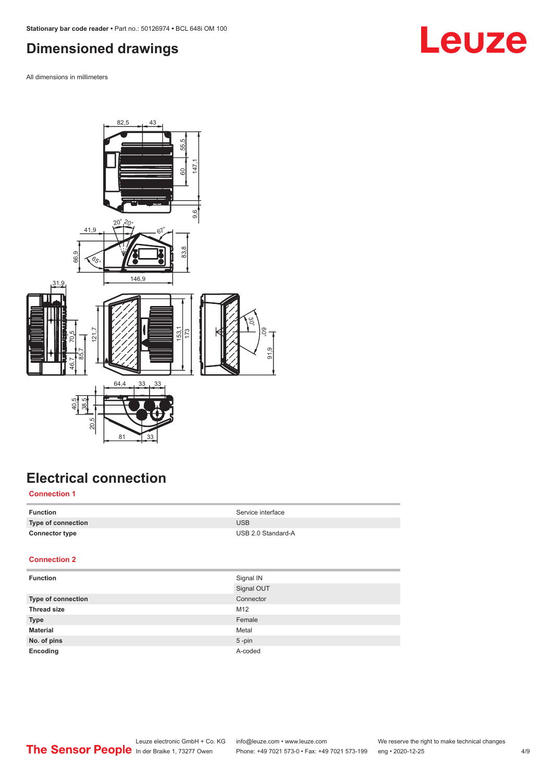### <span id="page-3-0"></span>**Dimensioned drawings**

All dimensions in millimeters



## **Electrical connection**

#### **Connection 1**

| Function              | Service interface  |
|-----------------------|--------------------|
| Type of connection    | <b>USB</b>         |
| <b>Connector type</b> | USB 2.0 Standard-A |

### **Connection 2**

| <b>Function</b>    | Signal IN  |
|--------------------|------------|
|                    | Signal OUT |
| Type of connection | Connector  |
| <b>Thread size</b> | M12        |
| <b>Type</b>        | Female     |
| <b>Material</b>    | Metal      |
| No. of pins        | $5$ -pin   |
| Encoding           | A-coded    |

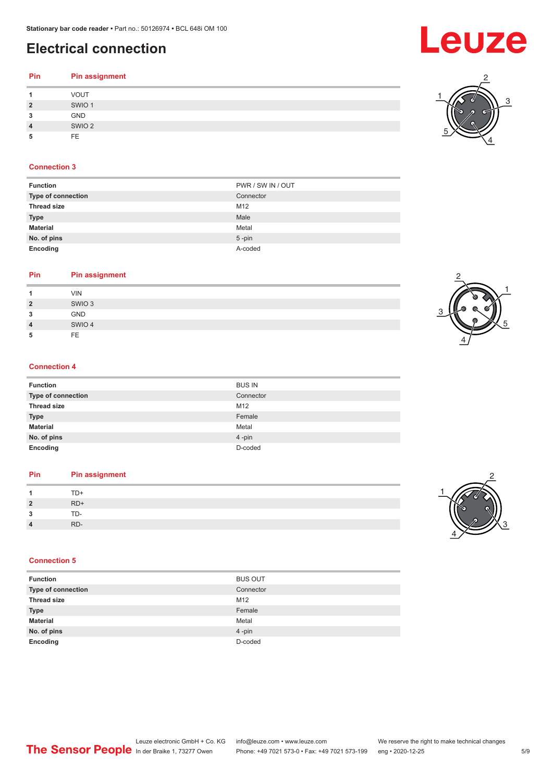### **Electrical connection**

### **Pin Pin assignment 1** VOUT **2** SWIO 1 **3** GND **4** SWIO 2 **5** FE

#### **Connection 3**

| PWR / SW IN / OUT |
|-------------------|
| Connector         |
| M12               |
| Male              |
| Metal             |
| $5 - pin$         |
| A-coded           |
|                   |

### **Pin Pin assignment**

| 1              | <b>VIN</b>        |
|----------------|-------------------|
| $\overline{2}$ | SWIO <sub>3</sub> |
| 3              | <b>GND</b>        |
| $\overline{4}$ | SWIO 4            |
| 5              | <b>FE</b>         |
|                |                   |

#### **Connection 4**

| <b>Function</b>    | <b>BUS IN</b> |
|--------------------|---------------|
| Type of connection | Connector     |
| <b>Thread size</b> | M12           |
| <b>Type</b>        | Female        |
| <b>Material</b>    | Metal         |
| No. of pins        | 4-pin         |
| Encoding           | D-coded       |

#### **Pin Pin assignment**

|                | TD+   |
|----------------|-------|
| $\overline{2}$ | $RD+$ |
| o<br>- 1       | TD-   |
| $\overline{4}$ | RD-   |
|                |       |

#### **Connection 5**

| <b>Function</b>    | <b>BUS OUT</b> |
|--------------------|----------------|
| Type of connection | Connector      |
| <b>Thread size</b> | M12            |
| <b>Type</b>        | Female         |
| <b>Material</b>    | Metal          |
| No. of pins        | 4-pin          |
| Encoding           | D-coded        |







**Leuze** 

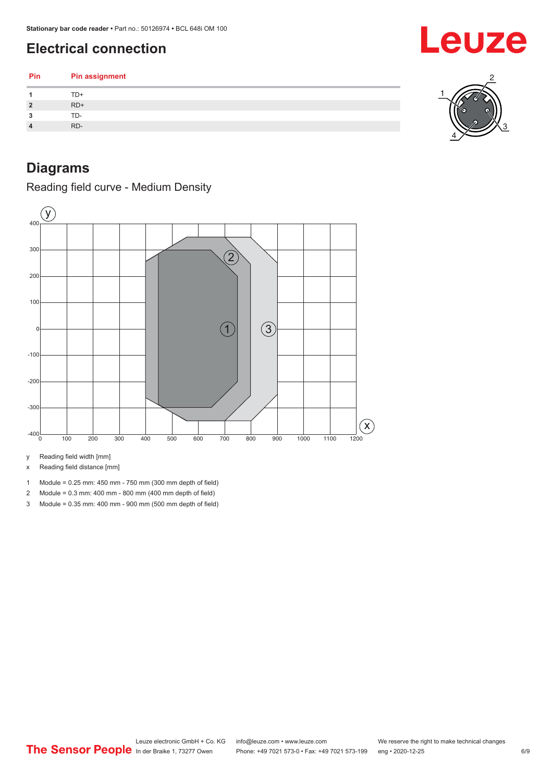### <span id="page-5-0"></span>**Electrical connection**

| TD+                     |
|-------------------------|
|                         |
| $RD+$<br>$\overline{2}$ |
| TD-<br>3                |
| RD-<br>4                |

### **Diagrams**

Reading field curve - Medium Density



y Reading field width [mm]

x Reading field distance [mm]

- 1 Module = 0.25 mm: 450 mm 750 mm (300 mm depth of field)
- 2 Module = 0.3 mm: 400 mm 800 mm (400 mm depth of field)
- 3 Module = 0.35 mm: 400 mm 900 mm (500 mm depth of field)

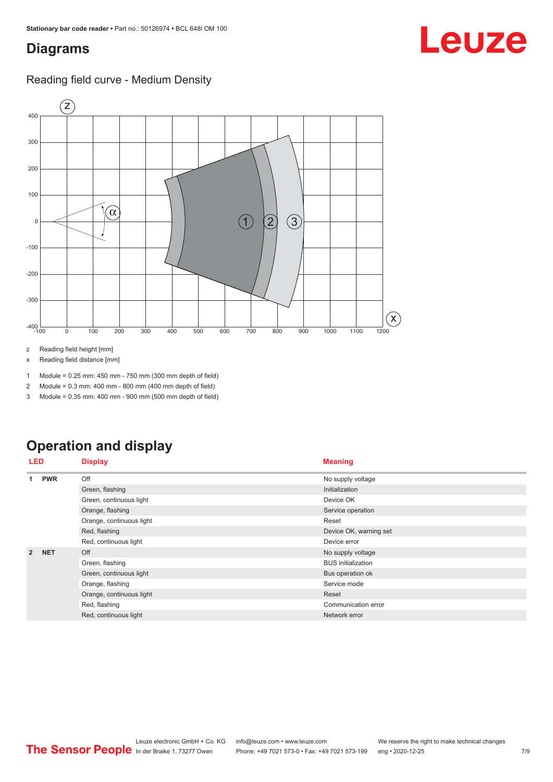### <span id="page-6-0"></span>**Diagrams**

### Reading field curve - Medium Density



z Reading field height [mm]

x Reading field distance [mm]

1 Module = 0.25 mm: 450 mm - 750 mm (300 mm depth of field)

2 Module = 0.3 mm: 400 mm - 800 mm (400 mm depth of field)

3 Module = 0.35 mm: 400 mm - 900 mm (500 mm depth of field)

## **Operation and display**

| LED            |            | <b>Display</b>           | <b>Meaning</b>            |
|----------------|------------|--------------------------|---------------------------|
| 1              | <b>PWR</b> | Off                      | No supply voltage         |
|                |            | Green, flashing          | Initialization            |
|                |            | Green, continuous light  | Device OK                 |
|                |            | Orange, flashing         | Service operation         |
|                |            | Orange, continuous light | Reset                     |
|                |            | Red, flashing            | Device OK, warning set    |
|                |            | Red, continuous light    | Device error              |
| $\overline{2}$ | <b>NET</b> | Off                      | No supply voltage         |
|                |            | Green, flashing          | <b>BUS</b> initialization |
|                |            | Green, continuous light  | Bus operation ok          |
|                |            | Orange, flashing         | Service mode              |
|                |            | Orange, continuous light | Reset                     |
|                |            | Red, flashing            | Communication error       |
|                |            | Red, continuous light    | Network error             |

Leuze electronic GmbH + Co. KG info@leuze.com • www.leuze.com We reserve the right to make technical changes<br>
The Sensor People in der Braike 1, 73277 Owen Phone: +49 7021 573-0 • Fax: +49 7021 573-199 eng • 2020-12-25 Phone: +49 7021 573-0 • Fax: +49 7021 573-199 eng • 2020-12-25 7/9

# Leuze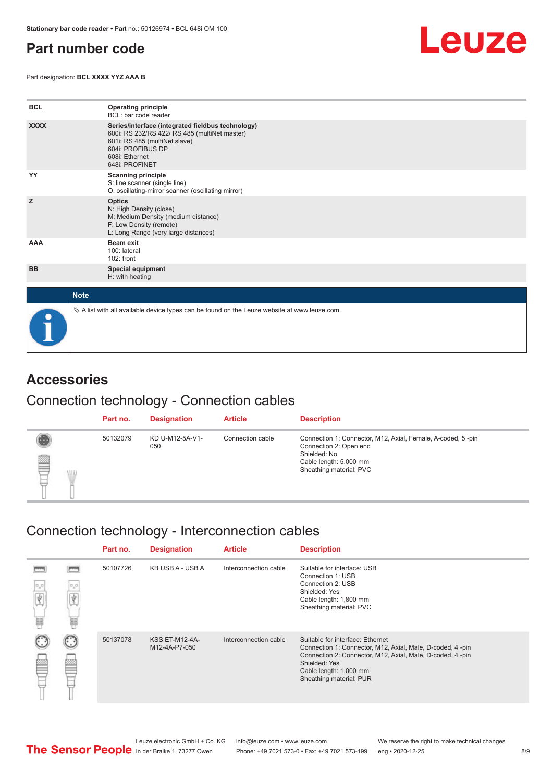### <span id="page-7-0"></span>**Part number code**

Part designation: **BCL XXXX YYZ AAA B**



| <b>BCL</b>  | <b>Operating principle</b><br>BCL: bar code reader                                                                                                                                           |
|-------------|----------------------------------------------------------------------------------------------------------------------------------------------------------------------------------------------|
| <b>XXXX</b> | Series/interface (integrated fieldbus technology)<br>600i: RS 232/RS 422/ RS 485 (multiNet master)<br>601i: RS 485 (multiNet slave)<br>604i: PROFIBUS DP<br>608i: Ethernet<br>648i: PROFINET |
| YY          | <b>Scanning principle</b><br>S: line scanner (single line)<br>O: oscillating-mirror scanner (oscillating mirror)                                                                             |
| z           | <b>Optics</b><br>N: High Density (close)<br>M: Medium Density (medium distance)<br>F: Low Density (remote)<br>L: Long Range (very large distances)                                           |
| AAA         | <b>Beam exit</b><br>100: lateral<br>102: front                                                                                                                                               |
| <b>BB</b>   | <b>Special equipment</b><br>H: with heating                                                                                                                                                  |
| <b>Note</b> |                                                                                                                                                                                              |
|             | $\&$ A list with all available device types can be found on the Leuze website at www.leuze.com.                                                                                              |

### **Accessories**

### Connection technology - Connection cables

|        | Part no. | <b>Designation</b>     | <b>Article</b>   | <b>Description</b>                                                                                                                                         |
|--------|----------|------------------------|------------------|------------------------------------------------------------------------------------------------------------------------------------------------------------|
| §<br>W | 50132079 | KD U-M12-5A-V1-<br>050 | Connection cable | Connection 1: Connector, M12, Axial, Female, A-coded, 5-pin<br>Connection 2: Open end<br>Shielded: No<br>Cable length: 5,000 mm<br>Sheathing material: PVC |

### Connection technology - Interconnection cables

|            |               | Part no. | <b>Designation</b>                     | <b>Article</b>        | <b>Description</b>                                                                                                                                                                                                               |
|------------|---------------|----------|----------------------------------------|-----------------------|----------------------------------------------------------------------------------------------------------------------------------------------------------------------------------------------------------------------------------|
| $D_0$<br>H | $\circ \circ$ | 50107726 | KB USB A - USB A                       | Interconnection cable | Suitable for interface: USB<br>Connection 1: USB<br>Connection 2: USB<br>Shielded: Yes<br>Cable length: 1,800 mm<br>Sheathing material: PVC                                                                                      |
|            |               | 50137078 | <b>KSS ET-M12-4A-</b><br>M12-4A-P7-050 | Interconnection cable | Suitable for interface: Ethernet<br>Connection 1: Connector, M12, Axial, Male, D-coded, 4-pin<br>Connection 2: Connector, M12, Axial, Male, D-coded, 4-pin<br>Shielded: Yes<br>Cable length: 1,000 mm<br>Sheathing material: PUR |